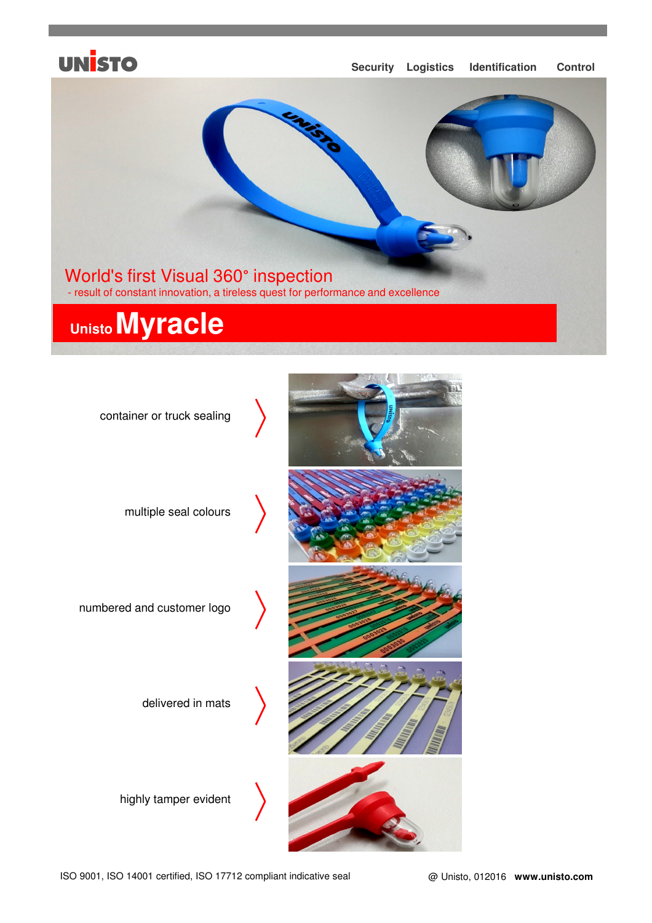## **UNISTO**

#### **Security Logistics Identification Control**



# **UnistoMyracle**